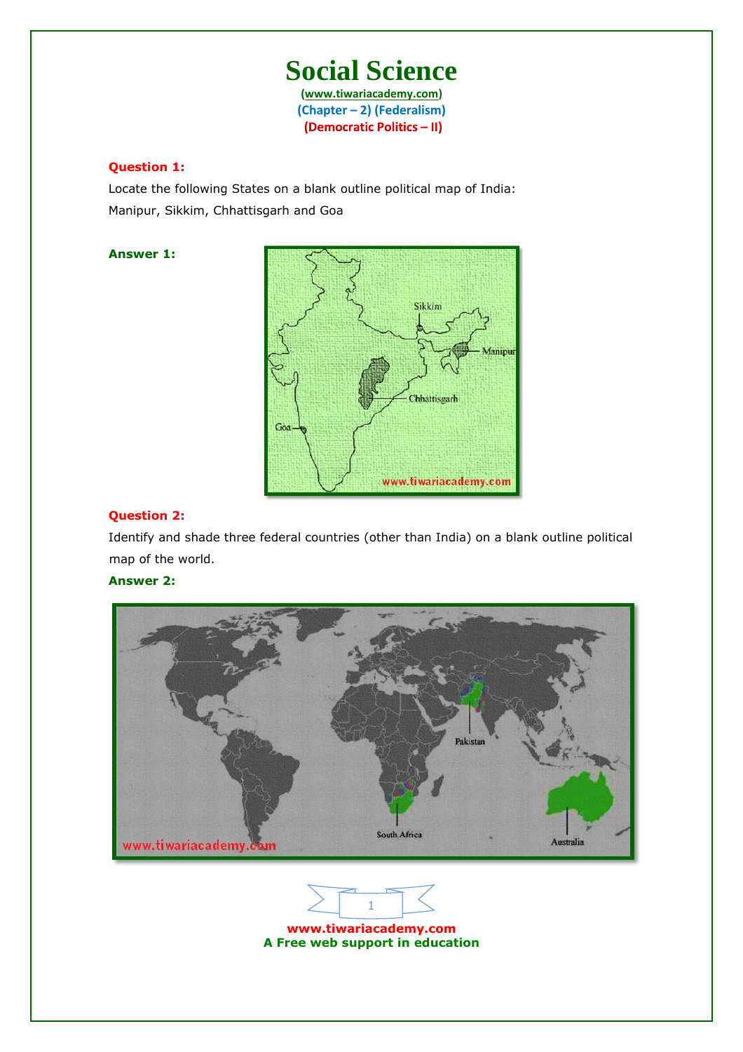**(www.tiwariacademy.com) (Chapter – 2) (Federalism)** (Democratic Politics - II)

## **Question 1:**

Locate the following States on a blank outline political map of India: Manipur, Sikkim, Chhattisgarh and Goa

# **Answer 1:**



## **Question 2:**

Identify and shade three federal countries (other than India) on a blank outline political map of the world.

# **Answer 2:**



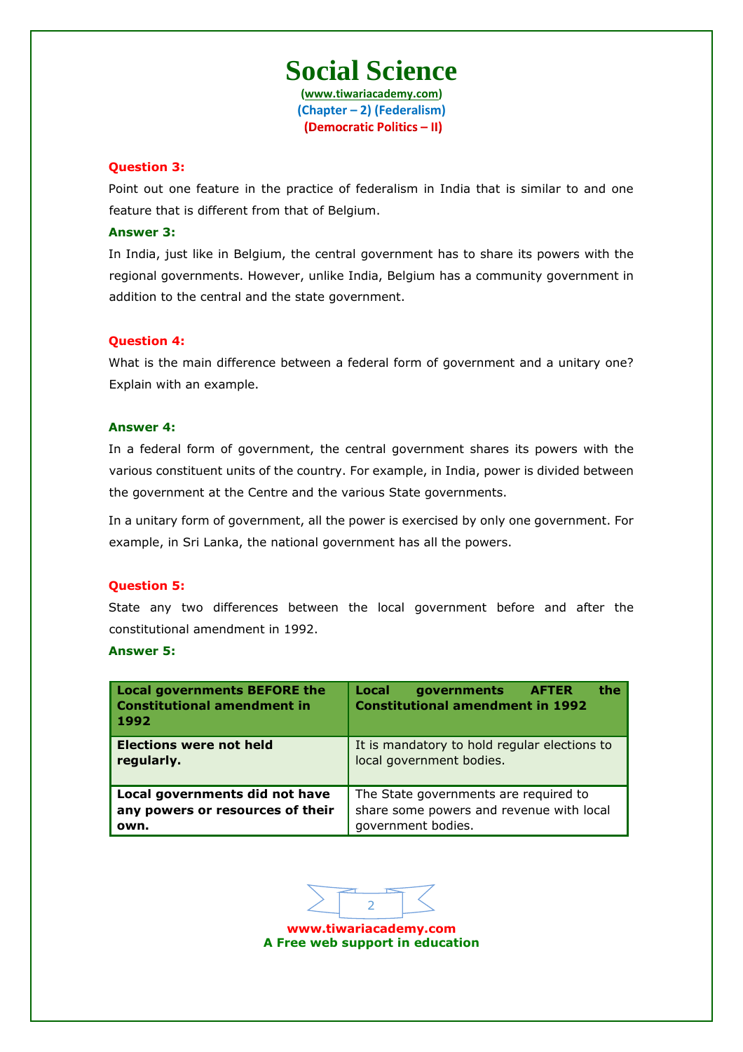**(www.tiwariacademy.com) (Chapter – 2) (Federalism)** (Democratic Politics - II)

### **Question 3:**

Point out one feature in the practice of federalism in India that is similar to and one feature that is different from that of Belgium.

#### **Answer 3:**

In India, just like in Belgium, the central government has to share its powers with the regional governments. However, unlike India, Belgium has a community government in addition to the central and the state government.

## **Question 4:**

What is the main difference between a federal form of government and a unitary one? Explain with an example.

#### **Answer 4:**

In a federal form of government, the central government shares its powers with the various constituent units of the country. For example, in India, power is divided between the government at the Centre and the various State governments.

In a unitary form of government, all the power is exercised by only one government. For example, in Sri Lanka, the national government has all the powers.

#### **Question 5:**

State any two differences between the local government before and after the constitutional amendment in 1992.

## **Answer 5:**

| <b>Local governments BEFORE the</b><br><b>Constitutional amendment in</b><br>1992 | Local<br>the<br>governments<br><b>AFTER</b><br><b>Constitutional amendment in 1992</b> |
|-----------------------------------------------------------------------------------|----------------------------------------------------------------------------------------|
| <b>Elections were not held</b>                                                    | It is mandatory to hold regular elections to                                           |
| regularly.                                                                        | local government bodies.                                                               |
| Local governments did not have                                                    | The State governments are required to                                                  |
| any powers or resources of their                                                  | share some powers and revenue with local                                               |
| own.                                                                              | government bodies.                                                                     |

2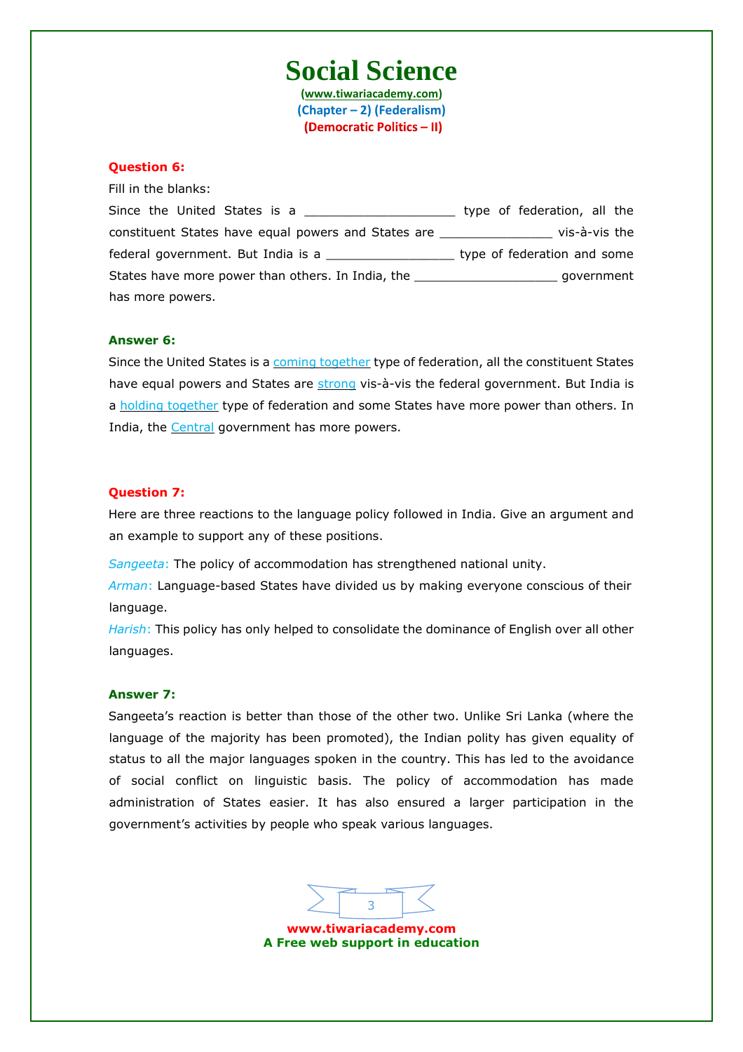**(www.tiwariacademy.com) (Chapter – 2) (Federalism)** (Democratic Politics - II)

## **Question 6:**

Fill in the blanks:

| Since the United States is a                                                     | type of federation, all the |
|----------------------------------------------------------------------------------|-----------------------------|
| constituent States have equal powers and States are                              | vis-à-vis the               |
| federal government. But India is a                                               | type of federation and some |
| States have more power than others. In India, the ______________________________ | qovernment                  |
| has more powers.                                                                 |                             |

#### **Answer 6:**

Since the United States is a coming together type of federation, all the constituent States have equal powers and States are strong vis-à-vis the federal government. But India is a holding together type of federation and some States have more power than others. In India, the **Central** government has more powers.

#### **Question 7:**

Here are three reactions to the language policy followed in India. Give an argument and an example to support any of these positions.

*Sangeeta*: The policy of accommodation has strengthened national unity.

*Arman*: Language-based States have divided us by making everyone conscious of their language.

*Harish*: This policy has only helped to consolidate the dominance of English over all other languages.

#### **Answer 7:**

Sangeeta's reaction is better than those of the other two. Unlike Sri Lanka (where the language of the majority h[as been promoted\), the Indian](www.tiwariacademy.com) polity has given equality of status to all the major languages spoken in the country. This has led to the avoidance of social conflict on linguistic basis. The policy of accommodation has made administration of States easier. It has also ensured a larger participation in the government's activities by people who speak various languages.

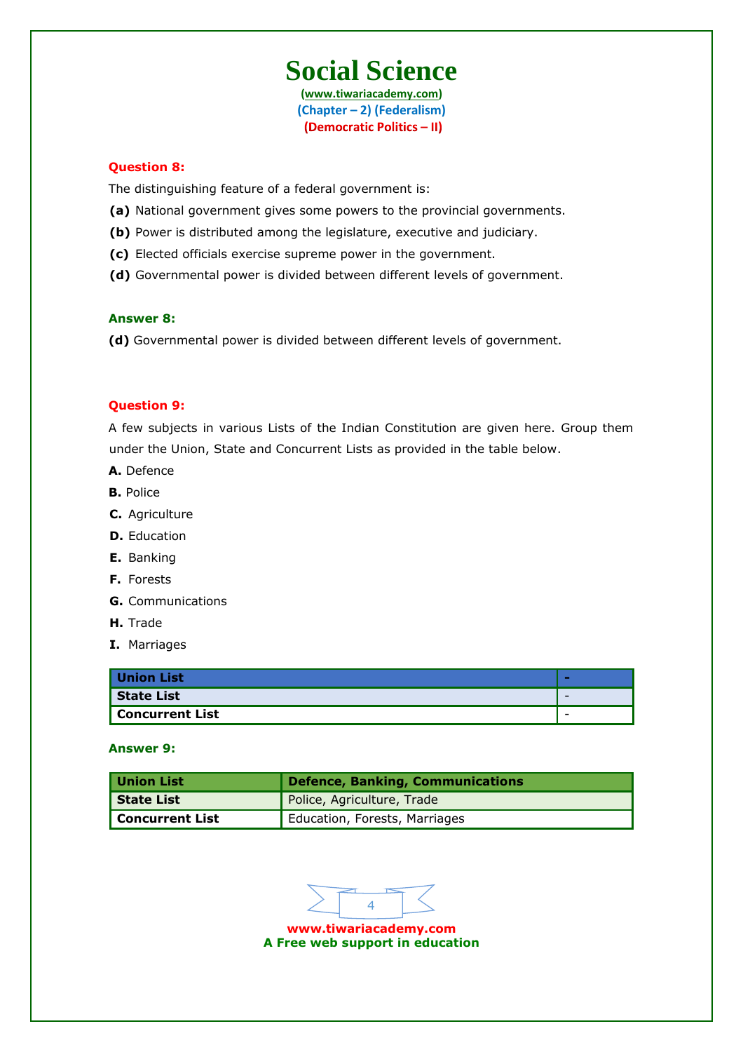**(www.tiwariacademy.com) (Chapter – 2) (Federalism)** (Democratic Politics - II)

### **Question 8:**

The distinguishing feature of a federal government is:

- **(a)** National government gives some powers to the provincial governments.
- **(b)** Power is distributed among the legislature, executive and judiciary.
- **(c)** Elected officials exercise supreme power in the government.
- **(d)** Governmental power is divided between different levels of government.

#### **Answer 8:**

**(d)** Governmental power is divided between different levels of government.

### **Question 9:**

A few subjects in various Lists of the Indian Constitution are given here. Group them under the Union, State and Concurrent Lists as provided in the table below.

- **A.** Defence
- **B.** Police
- **C.** Agriculture
- **D.** Education
- **E.** Banking
- **F.** Forests
- **G.** Communications
- **H.** Trade
- **I.** Marriages

| <b>Union List</b> | ×                        |
|-------------------|--------------------------|
| State List        | $\overline{\phantom{0}}$ |
| Concurrent List   | $\overline{\phantom{a}}$ |

### **Answer 9:**

| Union List      | <b>Defence, Banking, Communications</b> |  |  |
|-----------------|-----------------------------------------|--|--|
| State List      | Police, Agriculture, Trade              |  |  |
| Concurrent List | <b>Education, Forests, Marriages</b>    |  |  |

4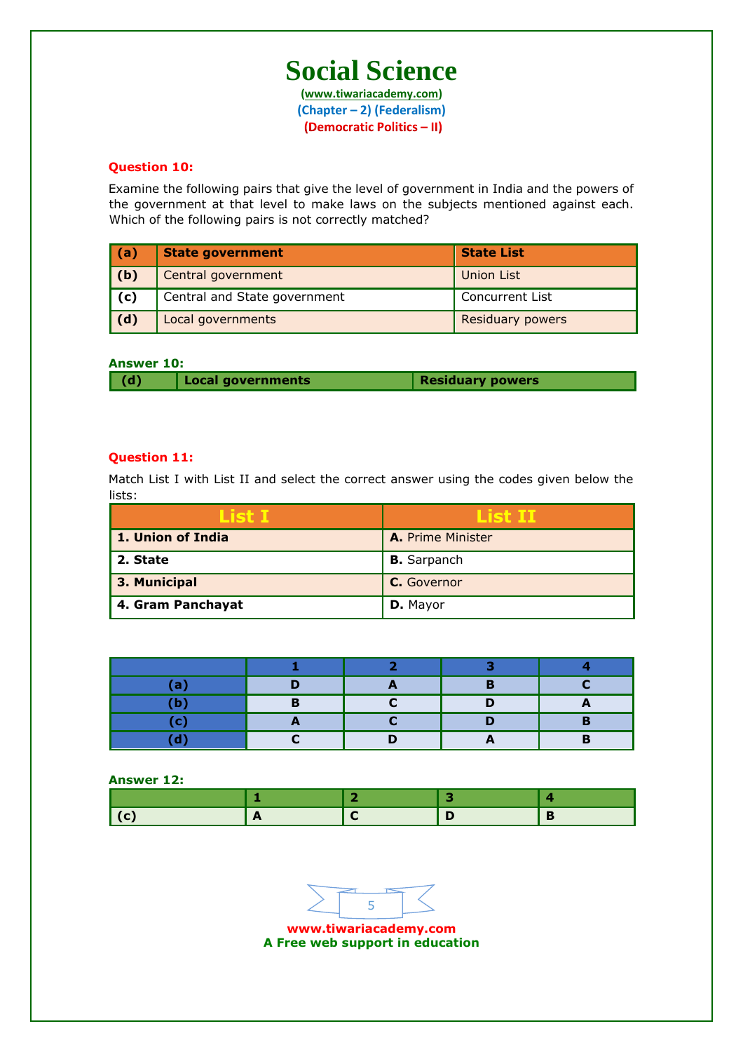**(www.tiwariacademy.com) (Chapter – 2) (Federalism)** (Democratic Politics - II)

## **Question 10:**

Examine the following pairs that give the level of government in India and the powers of the government at that level to make laws on the subjects mentioned against each. Which of the following pairs is not correctly matched?

| (a) | <b>State government</b>      | <b>State List</b>       |
|-----|------------------------------|-------------------------|
| (b) | Central government           | <b>Union List</b>       |
| (c) | Central and State government | Concurrent List         |
| (d) | Local governments            | <b>Residuary powers</b> |

# **Answer 10:**

| $\vert$ (d) | Local governments | Residuary powers |
|-------------|-------------------|------------------|

## **Question 11:**

Match List I with List II and select the correct answer using the codes given below the lists:

| List I            | List II                  |
|-------------------|--------------------------|
| 1. Union of India | <b>A.</b> Prime Minister |
| 2. State          | <b>B.</b> Sarpanch       |
| 3. Municipal      | C. Governor              |
| 4. Gram Panchayat | D. Mayor                 |

| a  |  | . . |  |
|----|--|-----|--|
| D  |  |     |  |
| o. |  |     |  |
|    |  |     |  |

**Answer 12:**